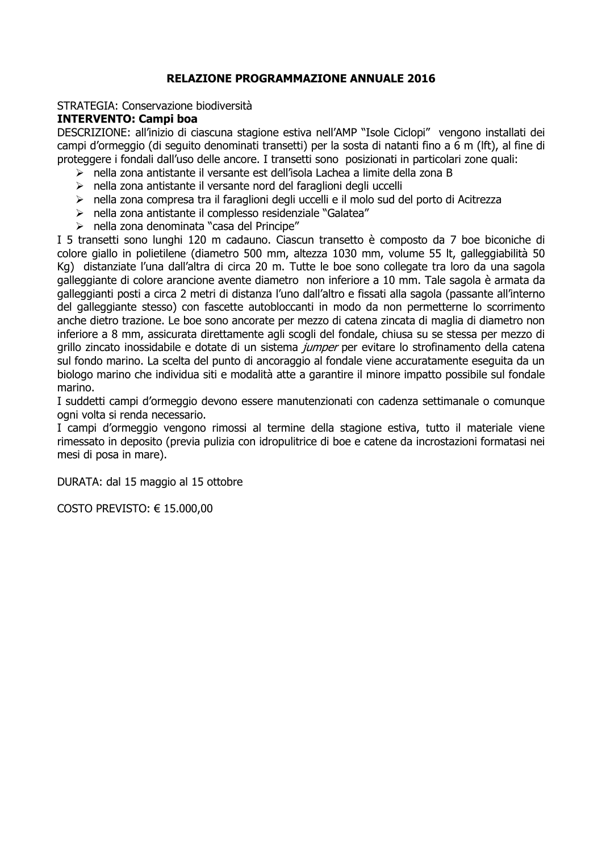## **RELAZIONE PROGRAMMAZIONE ANNUALE 2016**

## STRATEGIA: Conservazione biodiversità

## **INTERVENTO: Campi boa**

DESCRIZIONE: all'inizio di ciascuna stagione estiva nell'AMP "Isole Ciclopi" vengono installati dei campi d'ormeggio (di seguito denominati transetti) per la sosta di natanti fino a 6 m (lft), al fine di proteggere i fondali dall'uso delle ancore. I transetti sono posizionati in particolari zone quali:

- $\triangleright$  nella zona antistante il versante est dell'isola Lachea a limite della zona B
- > nella zona antistante il versante nord del faraglioni degli uccelli
- > nella zona compresa tra il faraglioni degli uccelli e il molo sud del porto di Acitrezza
- > nella zona antistante il complesso residenziale "Galatea"
- > nella zona denominata "casa del Principe"

I 5 transetti sono lunghi 120 m cadauno. Ciascun transetto è composto da 7 boe biconiche di colore giallo in polietilene (diametro 500 mm, altezza 1030 mm, volume 55 lt, galleggiabilità 50 Kg) distanziate l'una dall'altra di circa 20 m. Tutte le boe sono collegate tra loro da una sagola galleggiante di colore arancione avente diametro non inferiore a 10 mm. Tale sagola è armata da galleggianti posti a circa 2 metri di distanza l'uno dall'altro e fissati alla sagola (passante all'interno del galleggiante stesso) con fascette autobloccanti in modo da non permetterne lo scorrimento anche dietro trazione. Le boe sono ancorate per mezzo di catena zincata di maglia di diametro non inferiore a 8 mm, assicurata direttamente agli scogli del fondale, chiusa su se stessa per mezzo di grillo zincato inossidabile e dotate di un sistema jumper per evitare lo strofinamento della catena sul fondo marino. La scelta del punto di ancoraggio al fondale viene accuratamente eseguita da un biologo marino che individua siti e modalità atte a garantire il minore impatto possibile sul fondale marino.

I suddetti campi d'ormeggio devono essere manutenzionati con cadenza settimanale o comunque ogni volta si renda necessario.

I campi d'ormeggio vengono rimossi al termine della stagione estiva, tutto il materiale viene rimessato in deposito (previa pulizia con idropulitrice di boe e catene da incrostazioni formatasi nei mesi di posa in mare).

DURATA: dal 15 maggio al 15 ottobre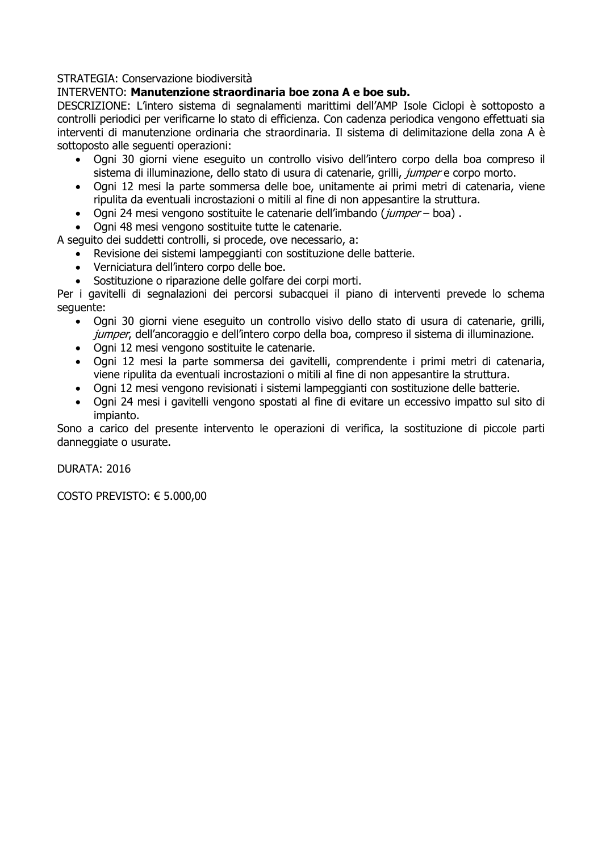## INTERVENTO: Manutenzione straordinaria boe zona A e boe sub.

DESCRIZIONE: L'intero sistema di segnalamenti marittimi dell'AMP Isole Ciclopi è sottoposto a controlli periodici per verificarne lo stato di efficienza. Con cadenza periodica vengono effettuati sia interventi di manutenzione ordinaria che straordinaria. Il sistema di delimitazione della zona A è sottoposto alle sequenti operazioni:

- $\bullet$ Ogni 30 giorni viene eseguito un controllo visivo dell'intero corpo della boa compreso il sistema di illuminazione, dello stato di usura di catenarie, grilli, *iumper* e corpo morto.
- Ogni 12 mesi la parte sommersa delle boe, unitamente ai primi metri di catenaria, viene ripulita da eventuali incrostazioni o mitili al fine di non appesantire la struttura.
- Ogni 24 mesi vengono sostituite le catenarie dell'imbando (jumper boa).  $\bullet$
- Ogni 48 mesi vengono sostituite tutte le catenarie.

A sequito dei suddetti controlli, si procede, ove necessario, a:

- Revisione dei sistemi lampeggianti con sostituzione delle batterie.  $\bullet$
- Verniciatura dell'intero corpo delle boe.
- · Sostituzione o riparazione delle golfare dei corpi morti.

Per i gavitelli di segnalazioni dei percorsi subacquei il piano di interventi prevede lo schema sequente:

- Ogni 30 giorni viene eseguito un controllo visivo dello stato di usura di catenarie, grilli, jumper, dell'ancoraggio e dell'intero corpo della boa, compreso il sistema di illuminazione.
- Ogni 12 mesi vengono sostituite le catenarie.
- · Ogni 12 mesi la parte sommersa dei gavitelli, comprendente i primi metri di catenaria, viene ripulita da eventuali incrostazioni o mitili al fine di non appesantire la struttura.
- Ogni 12 mesi vengono revisionati i sistemi lampeggianti con sostituzione delle batterie.
- Ogni 24 mesi i gavitelli vengono spostati al fine di evitare un eccessivo impatto sul sito di impianto.

Sono a carico del presente intervento le operazioni di verifica, la sostituzione di piccole parti danneggiate o usurate.

**DURATA: 2016**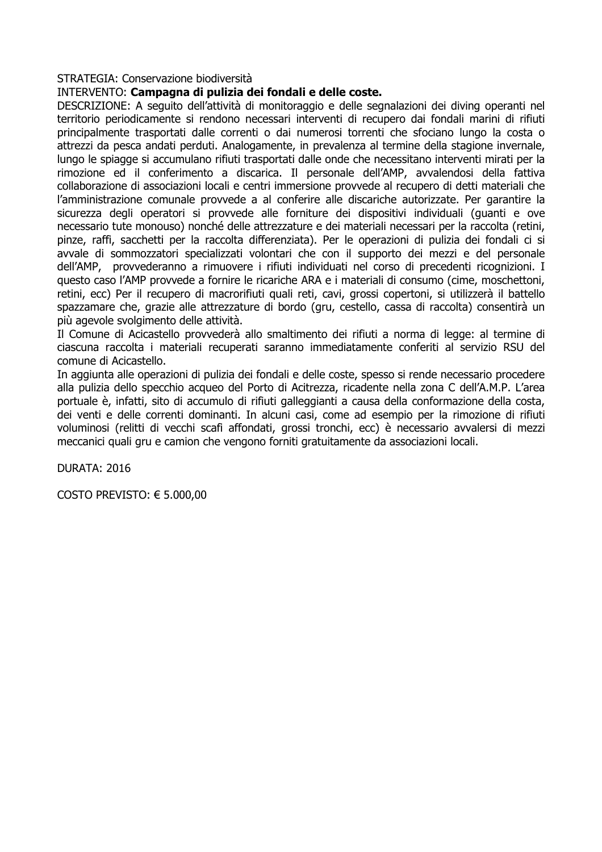#### INTERVENTO: Campagna di pulizia dei fondali e delle coste.

DESCRIZIONE: A seguito dell'attività di monitoraggio e delle segnalazioni dei diving operanti nel territorio periodicamente si rendono necessari interventi di recupero dai fondali marini di rifiuti principalmente trasportati dalle correnti o dai numerosi torrenti che sfociano lungo la costa o attrezzi da pesca andati perduti. Analogamente, in prevalenza al termine della stagione invernale, lungo le spiagge si accumulano rifiuti trasportati dalle onde che necessitano interventi mirati per la rimozione ed il conferimento a discarica. Il personale dell'AMP, avvalendosi della fattiva collaborazione di associazioni locali e centri immersione provvede al recupero di detti materiali che l'amministrazione comunale provvede a al conferire alle discariche autorizzate. Per garantire la sicurezza degli operatori si provvede alle forniture dei dispositivi individuali (quanti e ove necessario tute monouso) nonché delle attrezzature e dei materiali necessari per la raccolta (retini, pinze, raffi, sacchetti per la raccolta differenziata). Per le operazioni di pulizia dei fondali ci si avvale di sommozzatori specializzati volontari che con il supporto dei mezzi e del personale dell'AMP, provvederanno a rimuovere i rifiuti individuati nel corso di precedenti ricognizioni. I questo caso l'AMP provvede a fornire le ricariche ARA e i materiali di consumo (cime, moschettoni, retini, ecc) Per il recupero di macrorifiuti quali reti, cavi, grossi copertoni, si utilizzerà il battello spazzamare che, grazie alle attrezzature di bordo (gru, cestello, cassa di raccolta) consentirà un più agevole svolgimento delle attività.

Il Comune di Acicastello provvederà allo smaltimento dei rifiuti a norma di legge: al termine di ciascuna raccolta i materiali recuperati saranno immediatamente conferiti al servizio RSU del comune di Acicastello.

In aggiunta alle operazioni di pulizia dei fondali e delle coste, spesso si rende necessario procedere alla pulizia dello specchio acqueo del Porto di Acitrezza, ricadente nella zona C dell'A.M.P. L'area portuale è, infatti, sito di accumulo di rifiuti galleggianti a causa della conformazione della costa, dei venti e delle correnti dominanti. In alcuni casi, come ad esempio per la rimozione di rifiuti voluminosi (relitti di vecchi scafi affondati, grossi tronchi, ecc) è necessario avvalersi di mezzi meccanici quali gru e camion che vengono forniti gratuitamente da associazioni locali.

DURATA: 2016

COSTO PREVISTO:  $\epsilon$  5.000,00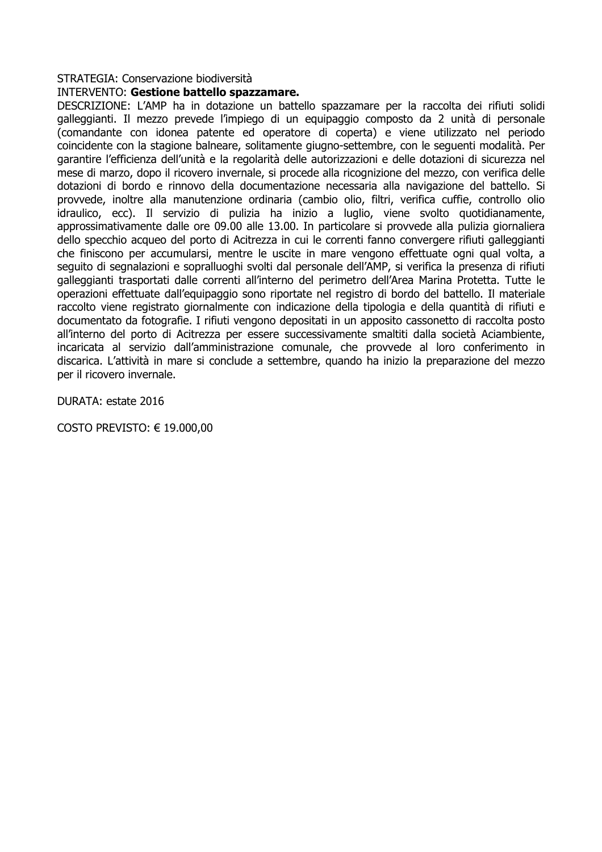#### **INTERVENTO: Gestione battello spazzamare.**

DESCRIZIONE: L'AMP ha in dotazione un battello spazzamare per la raccolta dei rifiuti solidi galleggianti. Il mezzo prevede l'impiego di un equipaggio composto da 2 unità di personale (comandante con idonea patente ed operatore di coperta) e viene utilizzato nel periodo coincidente con la stagione balneare, solitamente giugno-settembre, con le sequenti modalità. Per garantire l'efficienza dell'unità e la regolarità delle autorizzazioni e delle dotazioni di sicurezza nel mese di marzo, dopo il ricovero invernale, si procede alla ricognizione del mezzo, con verifica delle dotazioni di bordo e rinnovo della documentazione necessaria alla navigazione del battello. Si provvede, inoltre alla manutenzione ordinaria (cambio olio, filtri, verifica cuffie, controllo olio idraulico, ecc). Il servizio di pulizia ha inizio a luglio, viene svolto quotidianamente, approssimativamente dalle ore 09.00 alle 13.00. In particolare si provvede alla pulizia giornaliera dello specchio acqueo del porto di Acitrezza in cui le correnti fanno convergere rifiuti galleggianti che finiscono per accumularsi, mentre le uscite in mare vengono effettuate ogni qual volta, a sequito di segnalazioni e sopralluoghi svolti dal personale dell'AMP, si verifica la presenza di rifiuti galleggianti trasportati dalle correnti all'interno del perimetro dell'Area Marina Protetta. Tutte le operazioni effettuate dall'equipaggio sono riportate nel registro di bordo del battello. Il materiale raccolto viene registrato giornalmente con indicazione della tipologia e della quantità di rifiuti e documentato da fotografie. I rifiuti vengono depositati in un apposito cassonetto di raccolta posto all'interno del porto di Acitrezza per essere successivamente smaltiti dalla società Aciambiente, incaricata al servizio dall'amministrazione comunale, che provvede al loro conferimento in discarica. L'attività in mare si conclude a settembre, quando ha inizio la preparazione del mezzo per il ricovero invernale.

DURATA: estate 2016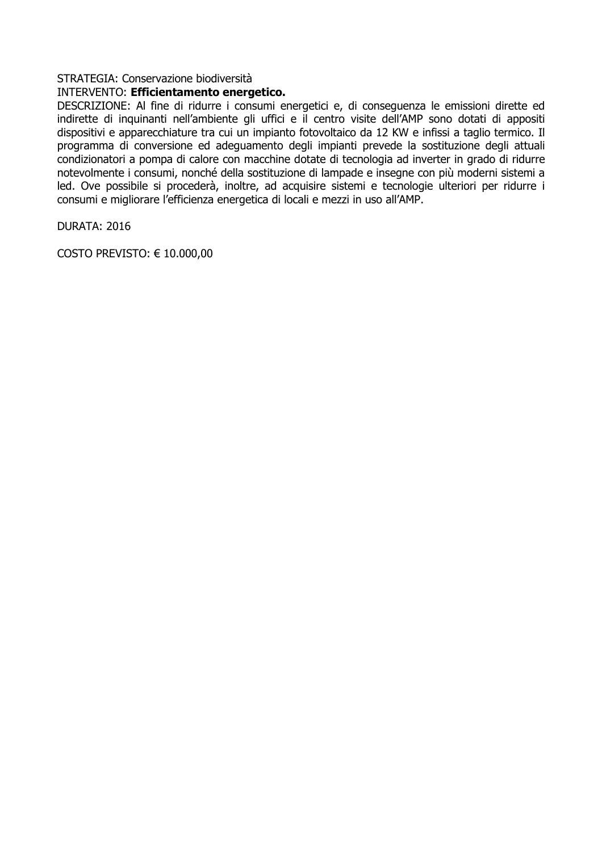#### INTERVENTO: Efficientamento energetico.

DESCRIZIONE: Al fine di ridurre i consumi energetici e, di conseguenza le emissioni dirette ed indirette di inquinanti nell'ambiente gli uffici e il centro visite dell'AMP sono dotati di appositi dispositivi e apparecchiature tra cui un impianto fotovoltaico da 12 KW e infissi a taglio termico. Il programma di conversione ed adequamento degli impianti prevede la sostituzione degli attuali condizionatori a pompa di calore con macchine dotate di tecnologia ad inverter in grado di ridurre notevolmente i consumi, nonché della sostituzione di lampade e insegne con più moderni sistemi a led. Ove possibile si procederà, inoltre, ad acquisire sistemi e tecnologie ulteriori per ridurre i consumi e migliorare l'efficienza energetica di locali e mezzi in uso all'AMP.

DURATA: 2016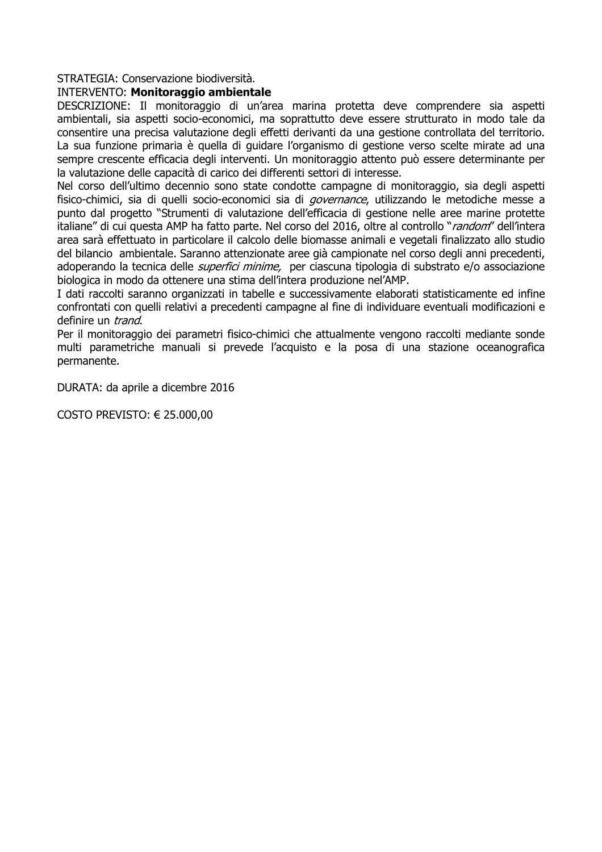#### **INTERVENTO: Monitoraggio ambientale**

DESCRIZIONE: Il monitoraggio di un'area marina protetta deve comprendere sia aspetti ambientali, sia aspetti socio-economici, ma soprattutto deve essere strutturato in modo tale da consentire una precisa valutazione degli effetti derivanti da una gestione controllata del territorio. La sua funzione primaria è quella di quidare l'organismo di gestione verso scelte mirate ad una sempre crescente efficacia degli interventi. Un monitoraggio attento può essere determinante per la valutazione delle capacità di carico dei differenti settori di interesse.

Nel corso dell'ultimo decennio sono state condotte campagne di monitoraggio, sia degli aspetti fisico-chimici, sia di quelli socio-economici sia di *governance*, utilizzando le metodiche messe a punto dal progetto "Strumenti di valutazione dell'efficacia di gestione nelle aree marine protette italiane" di cui questa AMP ha fatto parte. Nel corso del 2016, oltre al controllo "random" dell'intera area sarà effettuato in particolare il calcolo delle biomasse animali e vegetali finalizzato allo studio del bilancio ambientale. Saranno attenzionate aree già campionate nel corso degli anni precedenti, adoperando la tecnica delle *superfici minime*, per ciascuna tipologia di substrato e/o associazione biologica in modo da ottenere una stima dell'intera produzione nel'AMP.

I dati raccolti saranno organizzati in tabelle e successivamente elaborati statisticamente ed infine confrontati con quelli relativi a precedenti campagne al fine di individuare eventuali modificazioni e definire un trand.

Per il monitoraggio dei parametri fisico-chimici che attualmente vengono raccolti mediante sonde multi parametriche manuali si prevede l'acquisto e la posa di una stazione oceanografica permanente.

DURATA: da aprile a dicembre 2016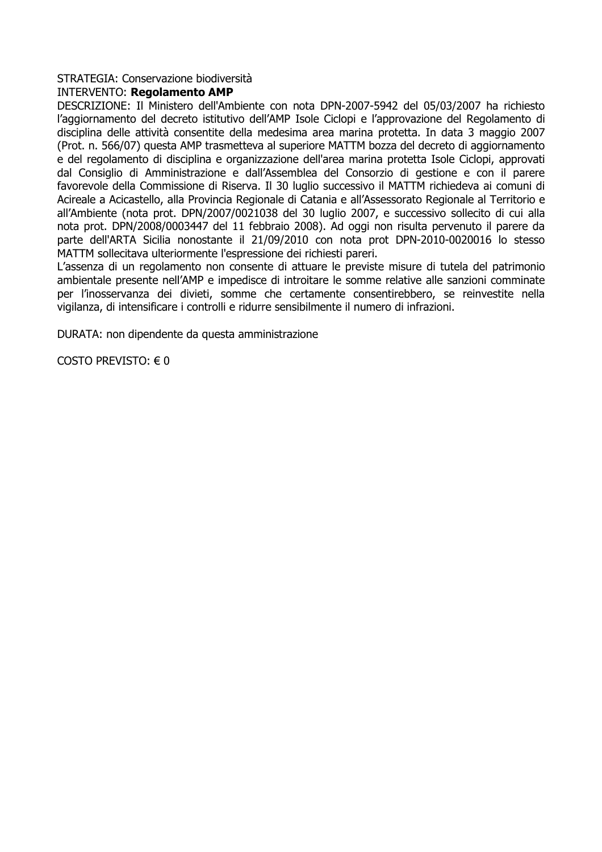## **INTERVENTO: Regolamento AMP**

DESCRIZIONE: Il Ministero dell'Ambiente con nota DPN-2007-5942 del 05/03/2007 ha richiesto l'aggiornamento del decreto istitutivo dell'AMP Isole Ciclopi e l'approvazione del Regolamento di disciplina delle attività consentite della medesima area marina protetta. In data 3 maggio 2007 (Prot. n. 566/07) questa AMP trasmetteva al superiore MATTM bozza del decreto di aggiornamento e del regolamento di disciplina e organizzazione dell'area marina protetta Isole Ciclopi, approvati dal Consiglio di Amministrazione e dall'Assemblea del Consorzio di gestione e con il parere favorevole della Commissione di Riserva. Il 30 luglio successivo il MATTM richiedeva ai comuni di Acireale a Acicastello, alla Provincia Regionale di Catania e all'Assessorato Regionale al Territorio e all'Ambiente (nota prot. DPN/2007/0021038 del 30 luglio 2007, e successivo sollecito di cui alla nota prot. DPN/2008/0003447 del 11 febbraio 2008). Ad oggi non risulta pervenuto il parere da parte dell'ARTA Sicilia nonostante il 21/09/2010 con nota prot DPN-2010-0020016 lo stesso MATTM sollecitava ulteriormente l'espressione dei richiesti pareri.

L'assenza di un regolamento non consente di attuare le previste misure di tutela del patrimonio ambientale presente nell'AMP e impedisce di introitare le somme relative alle sanzioni comminate per l'inosservanza dei divieti, somme che certamente consentirebbero, se reinvestite nella vigilanza, di intensificare i controlli e ridurre sensibilmente il numero di infrazioni.

DURATA: non dipendente da questa amministrazione

COSTO PREVISTO:  $\in$  0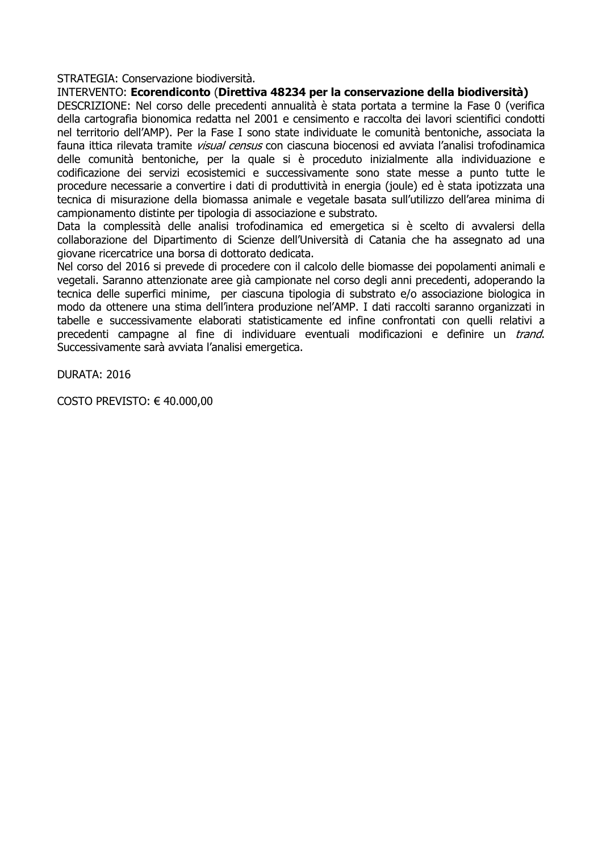## INTERVENTO: Ecorendiconto (Direttiva 48234 per la conservazione della biodiversità)

DESCRIZIONE: Nel corso delle precedenti annualità è stata portata a termine la Fase 0 (verifica della cartografia bionomica redatta nel 2001 e censimento e raccolta dei lavori scientifici condotti nel territorio dell'AMP). Per la Fase I sono state individuate le comunità bentoniche, associata la fauna ittica rilevata tramite *visual census* con ciascuna biocenosi ed avviata l'analisi trofodinamica delle comunità bentoniche, per la quale si è proceduto inizialmente alla individuazione e codificazione dei servizi ecosistemici e successivamente sono state messe a punto tutte le procedure necessarie a convertire i dati di produttività in energia (joule) ed è stata ipotizzata una tecnica di misurazione della biomassa animale e vegetale basata sull'utilizzo dell'area minima di campionamento distinte per tipologia di associazione e substrato.

Data la complessità delle analisi trofodinamica ed emergetica si è scelto di avvalersi della collaborazione del Dipartimento di Scienze dell'Università di Catania che ha assegnato ad una giovane ricercatrice una borsa di dottorato dedicata.

Nel corso del 2016 si prevede di procedere con il calcolo delle biomasse dei popolamenti animali e vegetali. Saranno attenzionate aree già campionate nel corso degli anni precedenti, adoperando la tecnica delle superfici minime, per ciascuna tipologia di substrato e/o associazione biologica in modo da ottenere una stima dell'intera produzione nel'AMP. I dati raccolti saranno organizzati in tabelle e successivamente elaborati statisticamente ed infine confrontati con quelli relativi a precedenti campagne al fine di individuare eventuali modificazioni e definire un *trand*. Successivamente sarà avviata l'analisi emergetica.

DURATA: 2016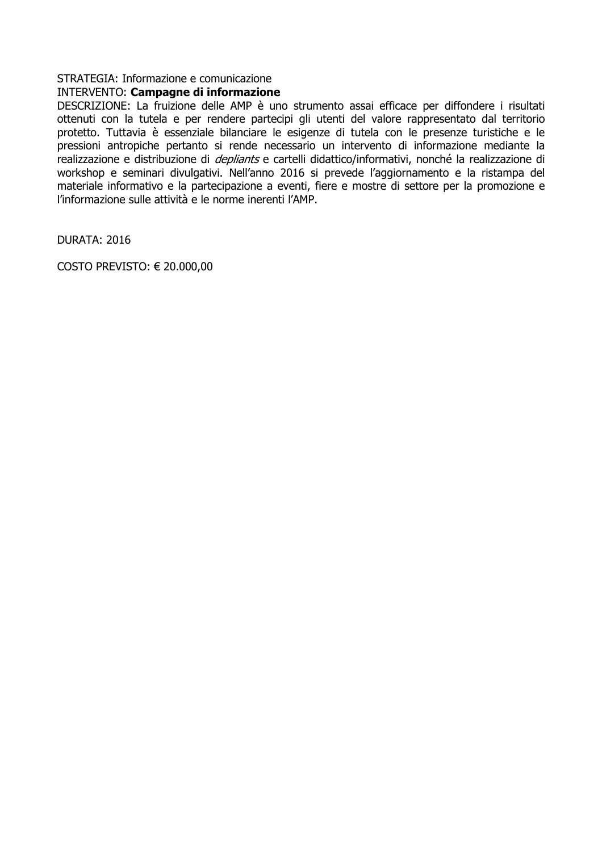# **INTERVENTO: Campagne di informazione**

DESCRIZIONE: La fruizione delle AMP è uno strumento assai efficace per diffondere i risultati ottenuti con la tutela e per rendere partecipi gli utenti del valore rappresentato dal territorio protetto. Tuttavia è essenziale bilanciare le esigenze di tutela con le presenze turistiche e le pressioni antropiche pertanto si rende necessario un intervento di informazione mediante la realizzazione e distribuzione di *depliants* e cartelli didattico/informativi, nonché la realizzazione di workshop e seminari divulgativi. Nell'anno 2016 si prevede l'aggiornamento e la ristampa del materiale informativo e la partecipazione a eventi, fiere e mostre di settore per la promozione e l'informazione sulle attività e le norme inerenti l'AMP.

DURATA: 2016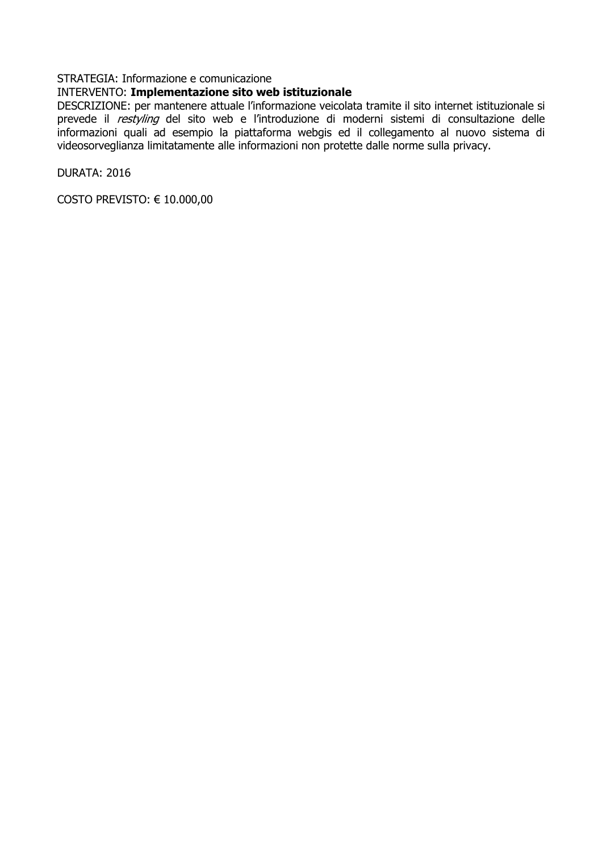## INTERVENTO: Implementazione sito web istituzionale

DESCRIZIONE: per mantenere attuale l'informazione veicolata tramite il sito internet istituzionale si prevede il restyling del sito web e l'introduzione di moderni sistemi di consultazione delle informazioni quali ad esempio la piattaforma webgis ed il collegamento al nuovo sistema di videosorveglianza limitatamente alle informazioni non protette dalle norme sulla privacy.

DURATA: 2016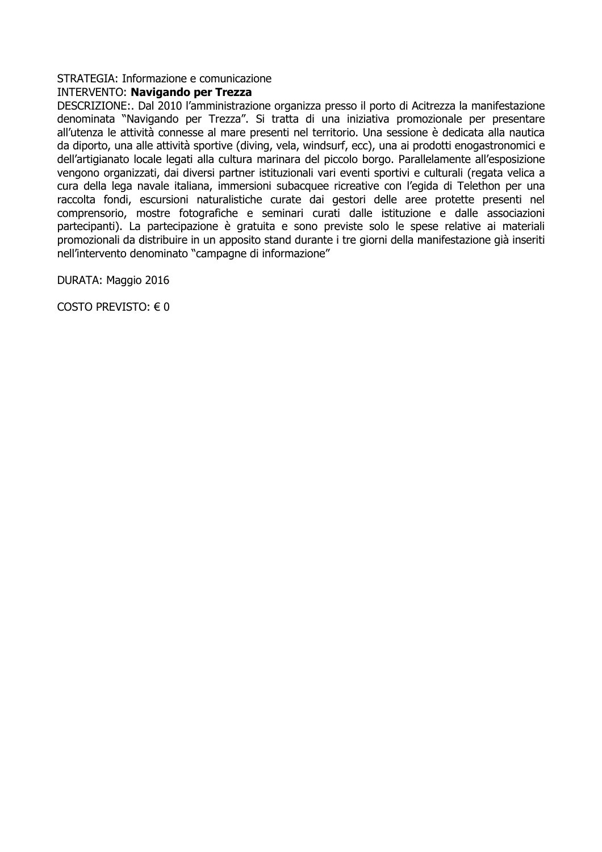## **INTERVENTO: Navigando per Trezza**

DESCRIZIONE:. Dal 2010 l'amministrazione organizza presso il porto di Acitrezza la manifestazione denominata "Navigando per Trezza". Si tratta di una iniziativa promozionale per presentare all'utenza le attività connesse al mare presenti nel territorio. Una sessione è dedicata alla nautica da diporto, una alle attività sportive (diving, vela, windsurf, ecc), una ai prodotti enogastronomici e dell'artigianato locale legati alla cultura marinara del piccolo borgo. Parallelamente all'esposizione vengono organizzati, dai diversi partner istituzionali vari eventi sportivi e culturali (regata velica a cura della lega navale italiana, immersioni subacquee ricreative con l'egida di Telethon per una raccolta fondi, escursioni naturalistiche curate dai gestori delle aree protette presenti nel comprensorio, mostre fotografiche e seminari curati dalle istituzione e dalle associazioni partecipanti). La partecipazione è gratuita e sono previste solo le spese relative ai materiali promozionali da distribuire in un apposito stand durante i tre giorni della manifestazione già inseriti nell'intervento denominato "campagne di informazione"

DURATA: Maggio 2016

COSTO PREVISTO:  $\in$  0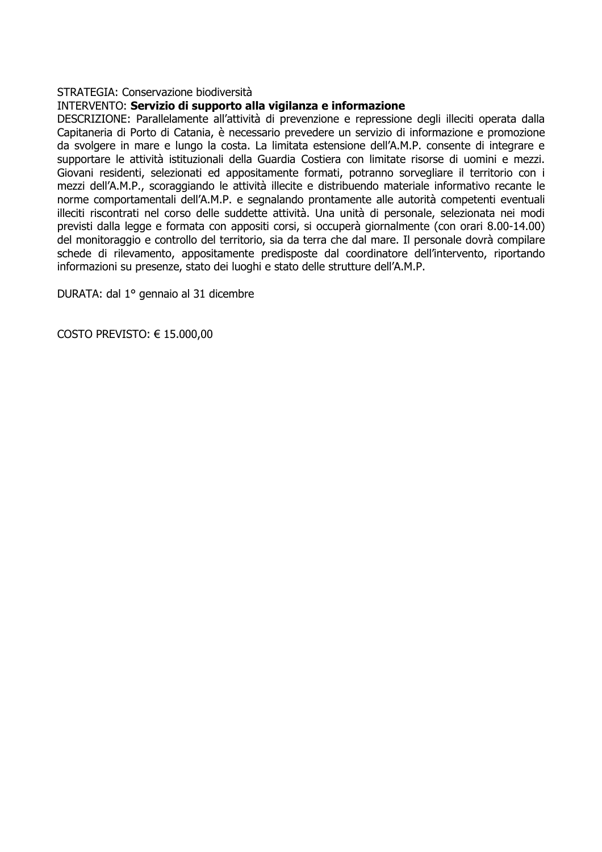#### INTERVENTO: Servizio di supporto alla vigilanza e informazione

DESCRIZIONE: Parallelamente all'attività di prevenzione e repressione degli illeciti operata dalla Capitaneria di Porto di Catania, è necessario prevedere un servizio di informazione e promozione da svolgere in mare e lungo la costa. La limitata estensione dell'A.M.P. consente di integrare e supportare le attività istituzionali della Guardia Costiera con limitate risorse di uomini e mezzi. Giovani residenti, selezionati ed appositamente formati, potranno sorvegliare il territorio con i mezzi dell'A.M.P., scoraggiando le attività illecite e distribuendo materiale informativo recante le norme comportamentali dell'A.M.P. e segnalando prontamente alle autorità competenti eventuali illeciti riscontrati nel corso delle suddette attività. Una unità di personale, selezionata nei modi previsti dalla legge e formata con appositi corsi, si occuperà giornalmente (con orari 8.00-14.00) del monitoraggio e controllo del territorio, sia da terra che dal mare. Il personale dovrà compilare schede di rilevamento, appositamente predisposte dal coordinatore dell'intervento, riportando informazioni su presenze, stato dei luoghi e stato delle strutture dell'A.M.P.

DURATA: dal 1º gennaio al 31 dicembre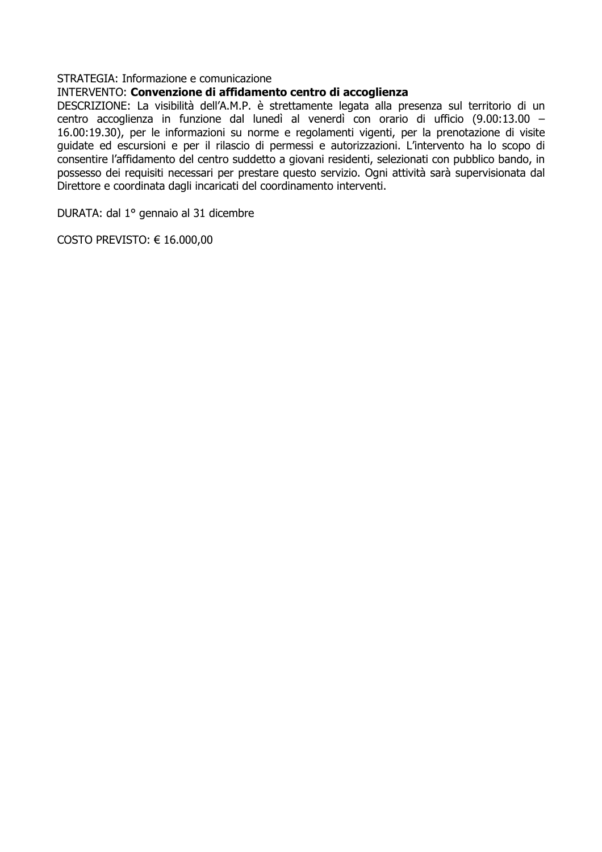## INTERVENTO: Convenzione di affidamento centro di accoglienza

DESCRIZIONE: La visibilità dell'A.M.P. è strettamente legata alla presenza sul territorio di un centro accoglienza in funzione dal lunedì al venerdì con orario di ufficio (9.00:13.00 -16.00:19.30), per le informazioni su norme e regolamenti vigenti, per la prenotazione di visite guidate ed escursioni e per il rilascio di permessi e autorizzazioni. L'intervento ha lo scopo di consentire l'affidamento del centro suddetto a giovani residenti, selezionati con pubblico bando, in possesso dei requisiti necessari per prestare questo servizio. Ogni attività sarà supervisionata dal Direttore e coordinata dagli incaricati del coordinamento interventi.

DURATA: dal 1º gennaio al 31 dicembre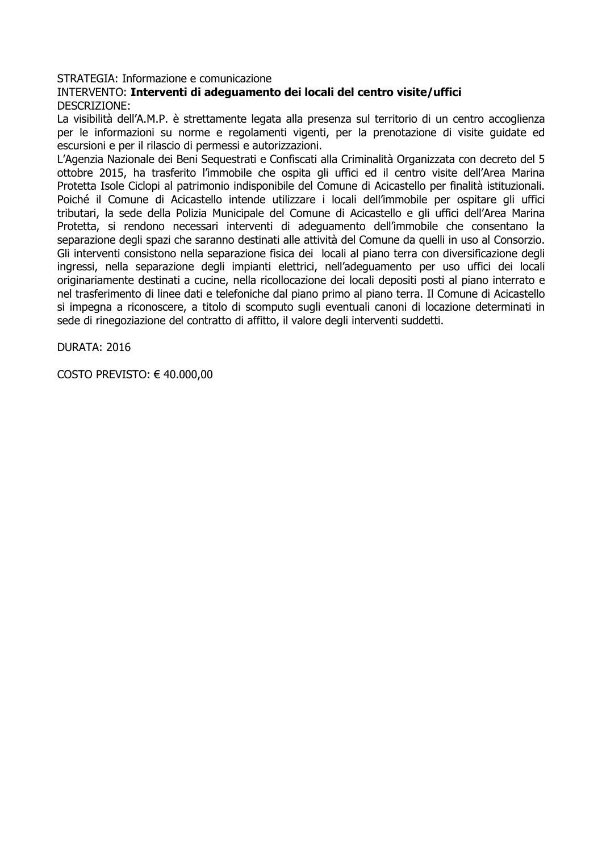## INTERVENTO: Interventi di adeguamento dei locali del centro visite/uffici DESCRIZIONE:

La visibilità dell'A.M.P. è strettamente legata alla presenza sul territorio di un centro accoglienza per le informazioni su norme e regolamenti vigenti, per la prenotazione di visite quidate ed escursioni e per il rilascio di permessi e autorizzazioni.

L'Agenzia Nazionale dei Beni Sequestrati e Confiscati alla Criminalità Organizzata con decreto del 5 ottobre 2015, ha trasferito l'immobile che ospita gli uffici ed il centro visite dell'Area Marina Protetta Isole Ciclopi al patrimonio indisponibile del Comune di Acicastello per finalità istituzionali. Poiché il Comune di Acicastello intende utilizzare i locali dell'immobile per ospitare gli uffici tributari, la sede della Polizia Municipale del Comune di Acicastello e gli uffici dell'Area Marina Protetta, si rendono necessari interventi di adequamento dell'immobile che consentano la separazione degli spazi che saranno destinati alle attività del Comune da quelli in uso al Consorzio. Gli interventi consistono nella separazione fisica dei locali al piano terra con diversificazione degli ingressi, nella separazione degli impianti elettrici, nell'adeguamento per uso uffici dei locali originariamente destinati a cucine, nella ricollocazione dei locali depositi posti al piano interrato e nel trasferimento di linee dati e telefoniche dal piano primo al piano terra. Il Comune di Acicastello si impegna a riconoscere, a titolo di scomputo sugli eventuali canoni di locazione determinati in sede di rinegoziazione del contratto di affitto, il valore degli interventi suddetti.

DURATA: 2016

COSTO PREVISTO:  $\in$  40.000,00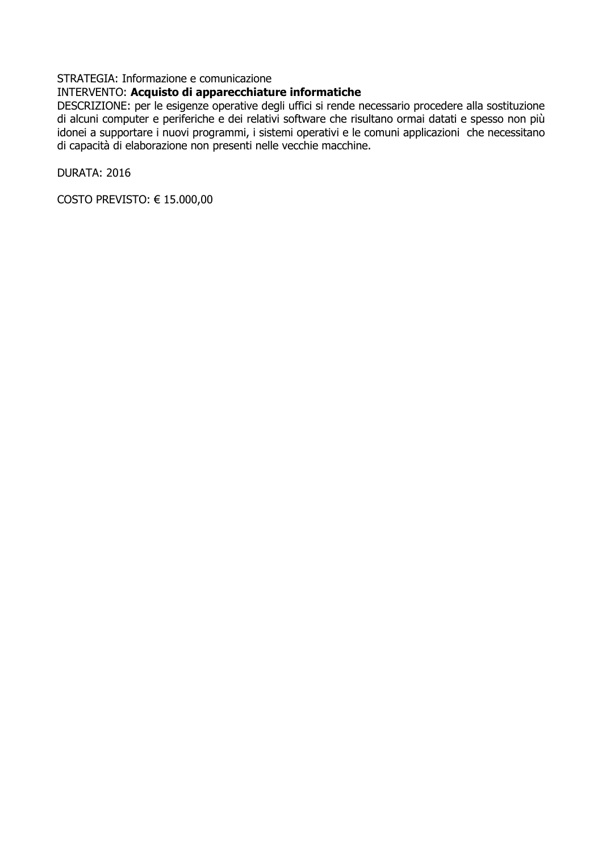## INTERVENTO: Acquisto di apparecchiature informatiche

DESCRIZIONE: per le esigenze operative degli uffici si rende necessario procedere alla sostituzione di alcuni computer e periferiche e dei relativi software che risultano ormai datati e spesso non più idonei a supportare i nuovi programmi, i sistemi operativi e le comuni applicazioni che necessitano di capacità di elaborazione non presenti nelle vecchie macchine.

DURATA: 2016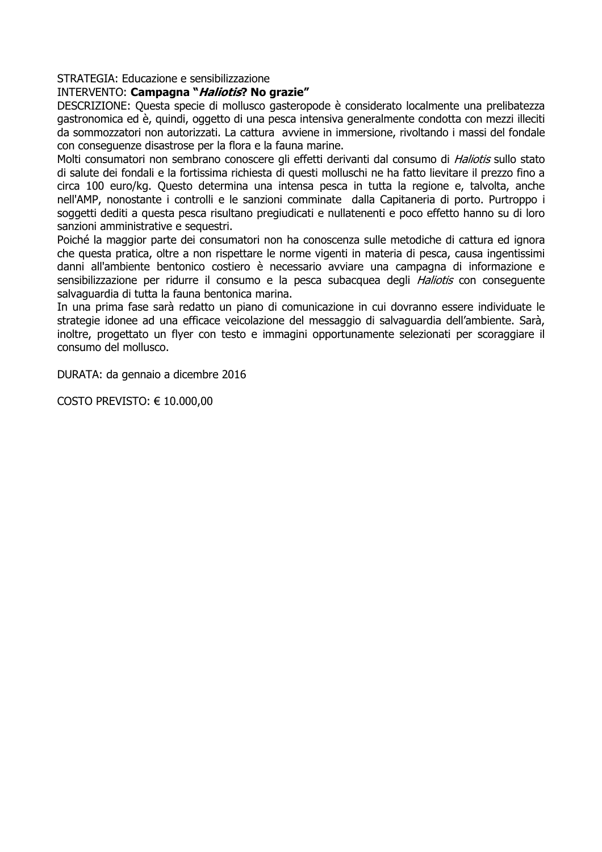#### INTERVENTO: Campagna "Haliotis? No grazie"

DESCRIZIONE: Questa specie di mollusco gasteropode è considerato localmente una prelibatezza gastronomica ed è, quindi, oggetto di una pesca intensiva generalmente condotta con mezzi illeciti da sommozzatori non autorizzati. La cattura avviene in immersione, rivoltando i massi del fondale con consequenze disastrose per la flora e la fauna marine.

Molti consumatori non sembrano conoscere gli effetti derivanti dal consumo di Haliotis sullo stato di salute dei fondali e la fortissima richiesta di questi molluschi ne ha fatto lievitare il prezzo fino a circa 100 euro/kg. Questo determina una intensa pesca in tutta la regione e, talvolta, anche nell'AMP, nonostante i controlli e le sanzioni comminate dalla Capitaneria di porto. Purtroppo i soggetti dediti a questa pesca risultano pregiudicati e nullatenenti e poco effetto hanno su di loro sanzioni amministrative e sequestri.

Poiché la maggior parte dei consumatori non ha conoscenza sulle metodiche di cattura ed jgnora che questa pratica, oltre a non rispettare le norme vigenti in materia di pesca, causa ingentissimi danni all'ambiente bentonico costiero è necessario avviare una campagna di informazione e sensibilizzazione per ridurre il consumo e la pesca subacquea degli *Haliotis* con consequente salvaguardia di tutta la fauna bentonica marina.

In una prima fase sarà redatto un piano di comunicazione in cui dovranno essere individuate le strategie idonee ad una efficace veicolazione del messaggio di salvaguardia dell'ambiente. Sarà, inoltre, progettato un flyer con testo e immagini opportunamente selezionati per scoraggiare il consumo del mollusco.

DURATA: da gennaio a dicembre 2016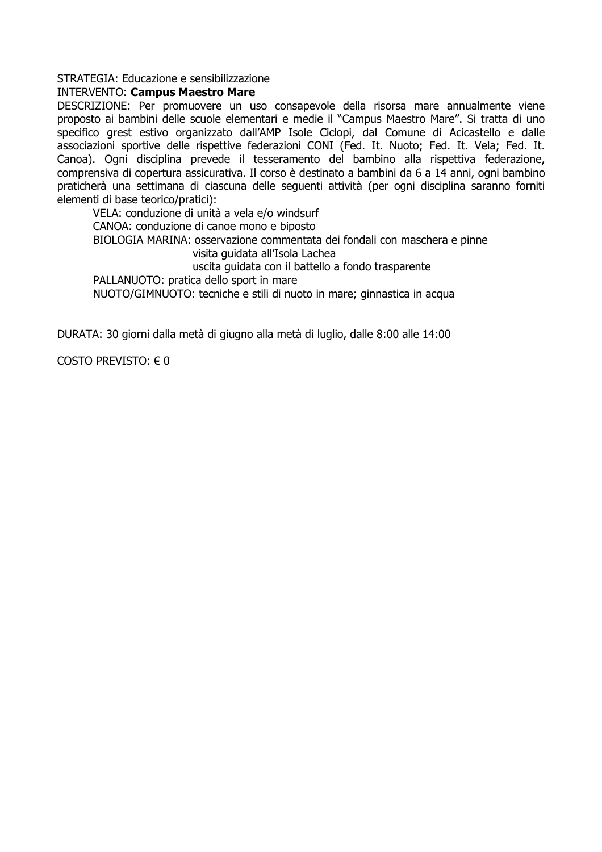### **INTERVENTO: Campus Maestro Mare**

DESCRIZIONE: Per promuovere un uso consapevole della risorsa mare annualmente viene proposto ai bambini delle scuole elementari e medie il "Campus Maestro Mare". Si tratta di uno specifico grest estivo organizzato dall'AMP Isole Ciclopi, dal Comune di Acicastello e dalle associazioni sportive delle rispettive federazioni CONI (Fed. It. Nuoto; Fed. It. Vela; Fed. It. Canoa). Ogni disciplina prevede il tesseramento del bambino alla rispettiva federazione, comprensiva di copertura assicurativa. Il corso è destinato a bambini da 6 a 14 anni, ogni bambino praticherà una settimana di ciascuna delle sequenti attività (per ogni disciplina saranno forniti elementi di base teorico/pratici):

VELA: conduzione di unità a vela e/o windsurf CANOA: conduzione di canoe mono e biposto BIOLOGIA MARINA: osservazione commentata dei fondali con maschera e pinne visita quidata all'Isola Lachea uscita quidata con il battello a fondo trasparente PALLANUOTO: pratica dello sport in mare

NUOTO/GIMNUOTO: tecniche e stili di nuoto in mare: ginnastica in acqua

DURATA: 30 giorni dalla metà di giugno alla metà di luglio, dalle 8:00 alle 14:00

COSTO PREVISTO:  $\in$  0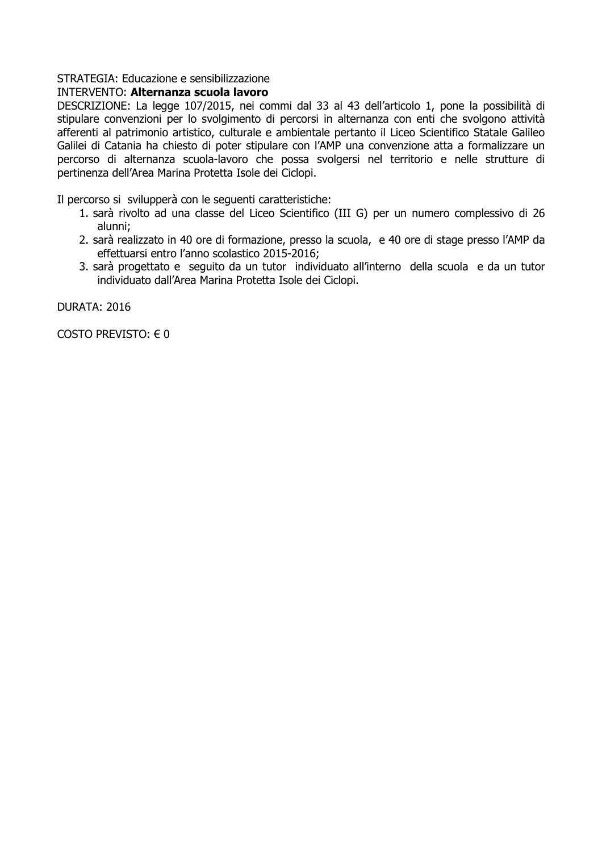# INTERVENTO: Alternanza scuola lavoro

DESCRIZIONE: La legge 107/2015, nei commi dal 33 al 43 dell'articolo 1, pone la possibilità di stipulare convenzioni per lo svolgimento di percorsi in alternanza con enti che svolgono attività afferenti al patrimonio artistico, culturale e ambientale pertanto il Liceo Scientifico Statale Galileo Galilei di Catania ha chiesto di poter stipulare con l'AMP una convenzione atta a formalizzare un percorso di alternanza scuola-lavoro che possa svolgersi nel territorio e nelle strutture di pertinenza dell'Area Marina Protetta Isole dei Ciclopi.

Il percorso si svilupperà con le sequenti caratteristiche:

- 1. sarà rivolto ad una classe del Liceo Scientifico (III G) per un numero complessivo di 26 alunni;
- 2. sarà realizzato in 40 ore di formazione, presso la scuola, e 40 ore di stage presso l'AMP da effettuarsi entro l'anno scolastico 2015-2016:
- 3. sarà progettato e seguito da un tutor individuato all'interno della scuola e da un tutor individuato dall'Area Marina Protetta Isole dei Ciclopi.

**DURATA: 2016** 

COSTO PREVISTO: € 0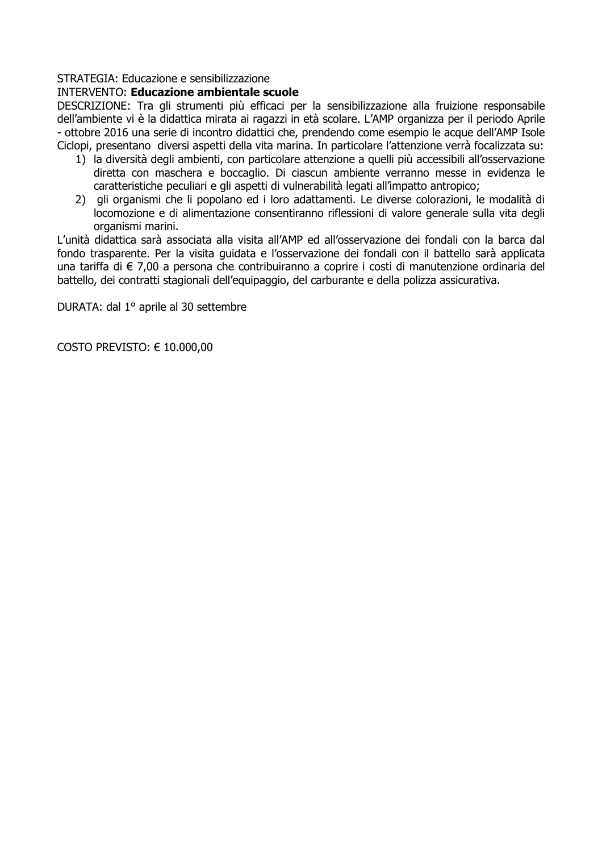#### **INTERVENTO: Educazione ambientale scuole**

DESCRIZIONE: Tra gli strumenti più efficaci per la sensibilizzazione alla fruizione responsabile dell'ambiente vi è la didattica mirata ai ragazzi in età scolare. L'AMP organizza per il periodo Aprile - ottobre 2016 una serie di incontro didattici che, prendendo come esempio le acque dell'AMP Isole Ciclopi, presentano diversi aspetti della vita marina. In particolare l'attenzione verrà focalizzata su:

- 1) la diversità degli ambienti, con particolare attenzione a quelli più accessibili all'osservazione diretta con maschera e boccaglio. Di ciascun ambiente verranno messe in evidenza le caratteristiche peculiari e gli aspetti di vulnerabilità legati all'impatto antropico;
- 2) gli organismi che li popolano ed i loro adattamenti. Le diverse colorazioni, le modalità di locomozione e di alimentazione consentiranno riflessioni di valore generale sulla vita degli organismi marini.

L'unità didattica sarà associata alla visita all'AMP ed all'osservazione dei fondali con la barca dal fondo trasparente. Per la visita quidata e l'osservazione dei fondali con il battello sarà applicata una tariffa di € 7,00 a persona che contribuiranno a coprire i costi di manutenzione ordinaria del battello, dei contratti stagionali dell'equipaggio, del carburante e della polizza assicurativa.

DURATA: dal 1º aprile al 30 settembre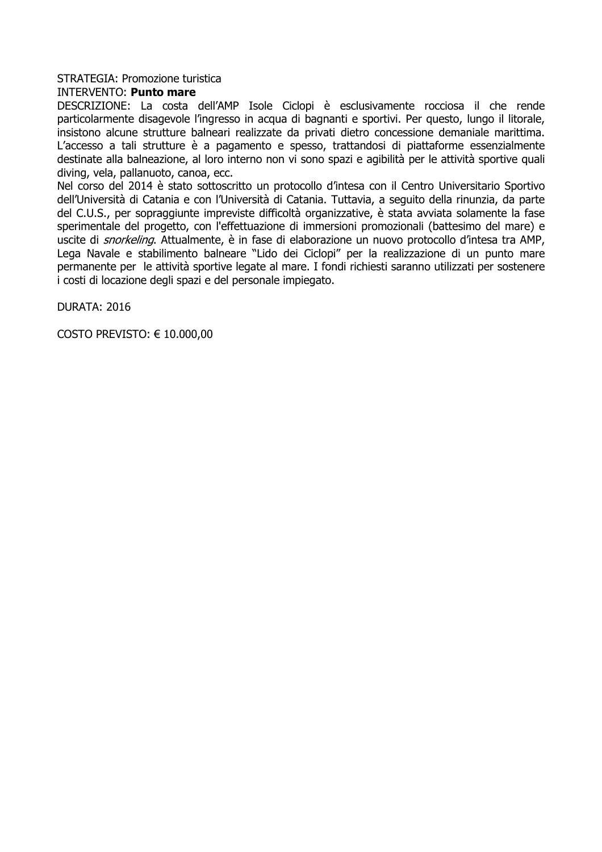#### STRATEGIA: Promozione turistica

#### **INTERVENTO: Punto mare**

DESCRIZIONE: La costa dell'AMP Isole Ciclopi è esclusivamente rocciosa il che rende particolarmente disagevole l'ingresso in acqua di bagnanti e sportivi. Per questo, lungo il litorale, insistono alcune strutture balneari realizzate da privati dietro concessione demaniale marittima. L'accesso a tali strutture è a pagamento e spesso, trattandosi di piattaforme essenzialmente destinate alla balneazione, al loro interno non vi sono spazi e agibilità per le attività sportive quali diving, yela, pallanuoto, canoa, ecc.

Nel corso del 2014 è stato sottoscritto un protocollo d'intesa con il Centro Universitario Sportivo dell'Università di Catania e con l'Università di Catania. Tuttavia, a seguito della rinunzia, da parte del C.U.S., per sopraggiunte impreviste difficoltà organizzative, è stata avviata solamente la fase sperimentale del progetto, con l'effettuazione di immersioni promozionali (battesimo del mare) e uscite di *snorkelina*. Attualmente, è in fase di elaborazione un nuovo protocollo d'intesa tra AMP, Lega Navale e stabilimento balneare "Lido dei Ciclopi" per la realizzazione di un punto mare permanente per le attività sportive legate al mare. I fondi richiesti saranno utilizzati per sostenere i costi di locazione degli spazi e del personale impiegato.

**DURATA: 2016**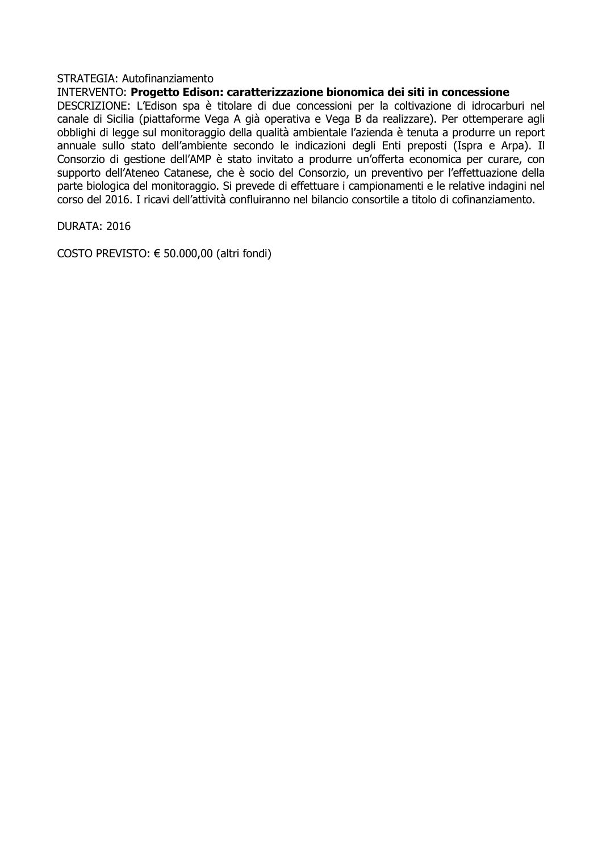### STRATEGIA: Autofinanziamento

## INTERVENTO: Progetto Edison: caratterizzazione bionomica dei siti in concessione

DESCRIZIONE: L'Edison spa è titolare di due concessioni per la coltivazione di idrocarburi nel canale di Sicilia (piattaforme Vega A già operativa e Vega B da realizzare). Per ottemperare agli obblighi di legge sul monitoraggio della qualità ambientale l'azienda è tenuta a produrre un report annuale sullo stato dell'ambiente secondo le indicazioni degli Enti preposti (Ispra e Arpa). Il Consorzio di gestione dell'AMP è stato invitato a produrre un'offerta economica per curare, con supporto dell'Ateneo Catanese, che è socio del Consorzio, un preventivo per l'effettuazione della parte biologica del monitoraggio. Si prevede di effettuare i campionamenti e le relative indagini nel corso del 2016. I ricavi dell'attività confluiranno nel bilancio consortile a titolo di cofinanziamento.

DURATA: 2016

COSTO PREVISTO: € 50.000.00 (altri fondi)